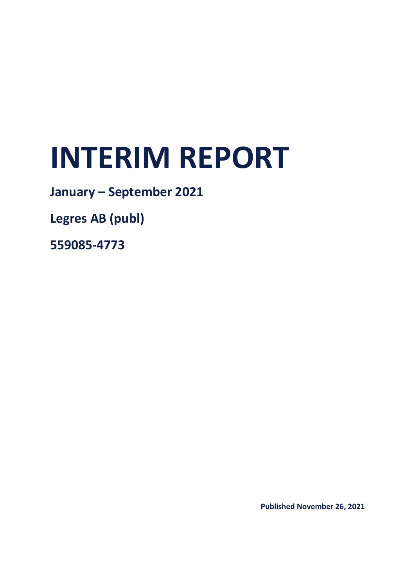# **INTERIM REPORT**

# **January – September 2021**

**Legres AB (publ)**

**559085-4773**

**Published November 26, 2021**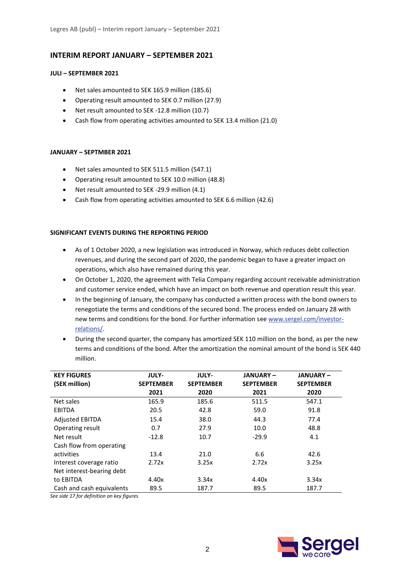# **INTERIM REPORT JANUARY – SEPTEMBER 2021**

#### **JULI – SEPTEMBER 2021**

- Net sales amounted to SEK 165.9 million (185.6)
- Operating result amounted to SEK 0.7 million (27.9)
- Net result amounted to SEK -12.8 million (10.7)
- Cash flow from operating activities amounted to SEK 13.4 million (21.0)

#### **JANUARY – SEPTMBER 2021**

- Net sales amounted to SEK 511.5 million (547.1)
- Operating result amounted to SEK 10.0 million (48.8)
- Net result amounted to SEK -29.9 million (4.1)
- Cash flow from operating activities amounted to SEK 6.6 million (42.6)

#### **SIGNIFICANT EVENTS DURING THE REPORTING PERIOD**

- As of 1 October 2020, a new legislation was introduced in Norway, which reduces debt collection revenues, and during the second part of 2020, the pandemic began to have a greater impact on operations, which also have remained during this year.
- On October 1, 2020, the agreement with Telia Company regarding account receivable administration and customer service ended, which have an impact on both revenue and operation result this year.
- In the beginning of January, the company has conducted a written process with the bond owners to renegotiate the terms and conditions of the secured bond. The process ended on January 28 with new terms and conditions for the bond. For further information see [www.sergel.com/investor](http://www.sergel.com/investor-relations/)[relations/.](http://www.sergel.com/investor-relations/)
- During the second quarter, the company has amortized SEK 110 million on the bond, as per the new terms and conditions of the bond. After the amortization the nominal amount of the bond is SEK 440 million.

| <b>KEY FIGURES</b><br>(SEK million) | <b>JULY-</b><br><b>SEPTEMBER</b> | <b>JULY-</b><br><b>SEPTEMBER</b> | <b>JANUARY-</b><br><b>SEPTEMBER</b> | <b>JANUARY-</b><br><b>SEPTEMBER</b> |
|-------------------------------------|----------------------------------|----------------------------------|-------------------------------------|-------------------------------------|
|                                     | 2021                             | 2020                             | 2021                                | 2020                                |
| Net sales                           | 165.9                            | 185.6                            | 511.5                               | 547.1                               |
| EBITDA                              | 20.5                             | 42.8                             | 59.0                                | 91.8                                |
| <b>Adjusted EBITDA</b>              | 15.4                             | 38.0                             | 44.3                                | 77.4                                |
| Operating result                    | 0.7                              | 27.9                             | 10.0                                | 48.8                                |
| Net result                          | $-12.8$                          | 10.7                             | $-29.9$                             | 4.1                                 |
| Cash flow from operating            |                                  |                                  |                                     |                                     |
| activities                          | 13.4                             | 21.0                             | 6.6                                 | 42.6                                |
| Interest coverage ratio             | 2.72x                            | 3.25x                            | 2.72x                               | 3.25x                               |
| Net interest-bearing debt           |                                  |                                  |                                     |                                     |
| to EBITDA                           | 4.40x                            | 3.34x                            | 4.40x                               | 3.34x                               |
| Cash and cash equivalents           | 89.5                             | 187.7                            | 89.5                                | 187.7                               |

*See side 17 for definition on key figures*

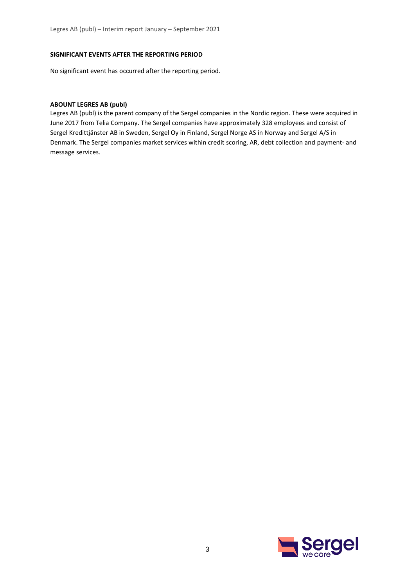#### **SIGNIFICANT EVENTS AFTER THE REPORTING PERIOD**

No significant event has occurred after the reporting period.

#### **ABOUNT LEGRES AB (publ)**

Legres AB (publ) is the parent company of the Sergel companies in the Nordic region. These were acquired in June 2017 from Telia Company. The Sergel companies have approximately 328 employees and consist of Sergel Kredittjänster AB in Sweden, Sergel Oy in Finland, Sergel Norge AS in Norway and Sergel A/S in Denmark. The Sergel companies market services within credit scoring, AR, debt collection and payment- and message services.

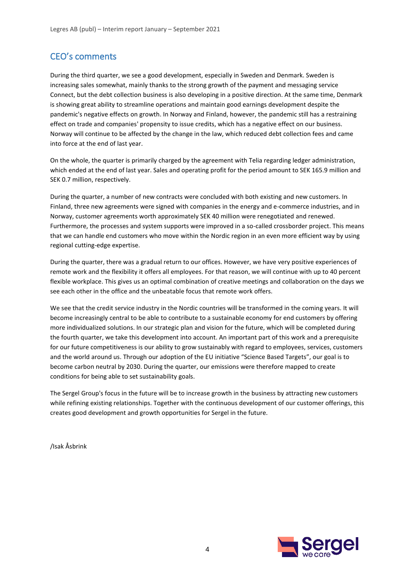# CEO's comments

During the third quarter, we see a good development, especially in Sweden and Denmark. Sweden is increasing sales somewhat, mainly thanks to the strong growth of the payment and messaging service Connect, but the debt collection business is also developing in a positive direction. At the same time, Denmark is showing great ability to streamline operations and maintain good earnings development despite the pandemic's negative effects on growth. In Norway and Finland, however, the pandemic still has a restraining effect on trade and companies' propensity to issue credits, which has a negative effect on our business. Norway will continue to be affected by the change in the law, which reduced debt collection fees and came into force at the end of last year.

On the whole, the quarter is primarily charged by the agreement with Telia regarding ledger administration, which ended at the end of last year. Sales and operating profit for the period amount to SEK 165.9 million and SEK 0.7 million, respectively.

During the quarter, a number of new contracts were concluded with both existing and new customers. In Finland, three new agreements were signed with companies in the energy and e-commerce industries, and in Norway, customer agreements worth approximately SEK 40 million were renegotiated and renewed. Furthermore, the processes and system supports were improved in a so-called crossborder project. This means that we can handle end customers who move within the Nordic region in an even more efficient way by using regional cutting-edge expertise.

During the quarter, there was a gradual return to our offices. However, we have very positive experiences of remote work and the flexibility it offers all employees. For that reason, we will continue with up to 40 percent flexible workplace. This gives us an optimal combination of creative meetings and collaboration on the days we see each other in the office and the unbeatable focus that remote work offers.

We see that the credit service industry in the Nordic countries will be transformed in the coming years. It will become increasingly central to be able to contribute to a sustainable economy for end customers by offering more individualized solutions. In our strategic plan and vision for the future, which will be completed during the fourth quarter, we take this development into account. An important part of this work and a prerequisite for our future competitiveness is our ability to grow sustainably with regard to employees, services, customers and the world around us. Through our adoption of the EU initiative "Science Based Targets", our goal is to become carbon neutral by 2030. During the quarter, our emissions were therefore mapped to create conditions for being able to set sustainability goals.

The Sergel Group's focus in the future will be to increase growth in the business by attracting new customers while refining existing relationships. Together with the continuous development of our customer offerings, this creates good development and growth opportunities for Sergel in the future.

/Isak Åsbrink

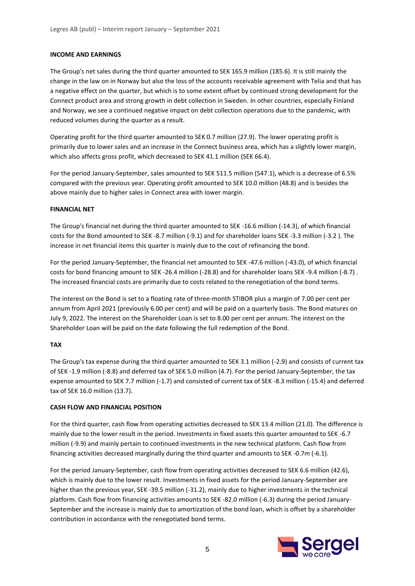#### **INCOME AND EARNINGS**

The Group's net sales during the third quarter amounted to SEK 165.9 million (185.6). It is still mainly the change in the law on in Norway but also the loss of the accounts receivable agreement with Telia and that has a negative effect on the quarter, but which is to some extent offset by continued strong development for the Connect product area and strong growth in debt collection in Sweden. In other countries, especially Finland and Norway, we see a continued negative impact on debt collection operations due to the pandemic, with reduced volumes during the quarter as a result.

Operating profit for the third quarter amounted to SEK 0.7 million (27.9). The lower operating profit is primarily due to lower sales and an increase in the Connect business area, which has a slightly lower margin, which also affects gross profit, which decreased to SEK 41.1 million (SEK 66.4).

For the period January-September, sales amounted to SEK 511.5 million (547.1), which is a decrease of 6.5% compared with the previous year. Operating profit amounted to SEK 10.0 million (48.8) and is besides the above mainly due to higher sales in Connect area with lower margin.

#### **FINANCIAL NET**

The Group's financial net during the third quarter amounted to SEK -16.6 million (-14.3), of which financial costs for the Bond amounted to SEK -8.7 million (-9.1) and for shareholder loans SEK -3.3 million (-3.2 ). The increase in net financial items this quarter is mainly due to the cost of refinancing the bond.

For the period January-September, the financial net amounted to SEK -47.6 million (-43.0), of which financial costs for bond financing amount to SEK -26.4 million (-28.8) and for shareholder loans SEK -9.4 million (-8.7) . The increased financial costs are primarily due to costs related to the renegotiation of the bond terms.

The interest on the Bond is set to a floating rate of three-month STIBOR plus a margin of 7.00 per cent per annum from April 2021 (previously 6.00 per cent) and will be paid on a quarterly basis. The Bond matures on July 9, 2022. The interest on the Shareholder Loan is set to 8.00 per cent per annum. The interest on the Shareholder Loan will be paid on the date following the full redemption of the Bond.

#### **TAX**

The Group's tax expense during the third quarter amounted to SEK 3.1 million (-2.9) and consists of current tax of SEK -1.9 million (-8.8) and deferred tax of SEK 5.0 million (4.7). For the period January-September, the tax expense amounted to SEK 7.7 million (-1.7) and consisted of current tax of SEK -8.3 million (-15.4) and deferred tax of SEK 16.0 million (13.7).

#### **CASH FLOW AND FINANCIAL POSITION**

For the third quarter, cash flow from operating activities decreased to SEK 13.4 million (21.0). The difference is mainly due to the lower result in the period. Investments in fixed assets this quarter amounted to SEK -6.7 million (-9.9) and mainly pertain to continued investments in the new technical platform. Cash flow from financing activities decreased marginally during the third quarter and amounts to SEK -0.7m (-6.1).

For the period January-September, cash flow from operating activities decreased to SEK 6.6 million (42.6), which is mainly due to the lower result. Investments in fixed assets for the period January-September are higher than the previous year, SEK -39.5 million (-31.2), mainly due to higher investments in the technical platform. Cash flow from financing activities amounts to SEK -82.0 million (-6.3) during the period January-September and the increase is mainly due to amortization of the bond loan, which is offset by a shareholder contribution in accordance with the renegotiated bond terms.

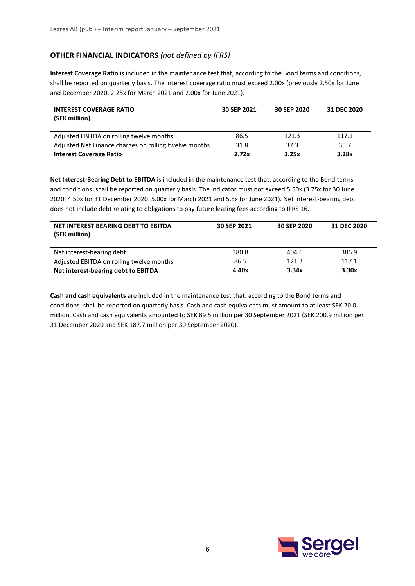# **OTHER FINANCIAL INDICATORS** *(not defined by IFRS)*

**Interest Coverage Ratio** is included in the maintenance test that, according to the Bond terms and conditions, shall be reported on quarterly basis. The interest coverage ratio must exceed 2.00x (previously 2.50x for June and December 2020, 2.25x for March 2021 and 2.00x for June 2021).

| <b>INTEREST COVERAGE RATIO</b><br>(SEK million)       | 30 SEP 2021 | 30 SEP 2020 | 31 DEC 2020 |
|-------------------------------------------------------|-------------|-------------|-------------|
| Adjusted EBITDA on rolling twelve months              | 86.5        | 121.3       | 117.1       |
| Adjusted Net Finance charges on rolling twelve months | 31.8        | 37.3        | 35.7        |
| <b>Interest Coverage Ratio</b>                        | 2.72x       | 3.25x       | 3.28x       |

**Net Interest-Bearing Debt to EBITDA** is included in the maintenance test that. according to the Bond terms and conditions. shall be reported on quarterly basis. The indicator must not exceed 5.50x (3.75x for 30 June 2020. 4.50x for 31 December 2020. 5.00x for March 2021 and 5.5x for June 2021). Net interest-bearing debt does not include debt relating to obligations to pay future leasing fees according to IFRS 16.

| NET INTEREST BEARING DEBT TO EBITDA<br>(SEK million) | 30 SEP 2021 | 30 SEP 2020 | 31 DEC 2020 |
|------------------------------------------------------|-------------|-------------|-------------|
| Net interest-bearing debt                            | 380.8       | 404.6       | 386.9       |
| Adjusted EBITDA on rolling twelve months             | 86.5        | 121.3       | 117.1       |
| Net interest-bearing debt to EBITDA                  | 4.40x       | 3.34x       | 3.30x       |

**Cash and cash equivalents** are included in the maintenance test that. according to the Bond terms and conditions. shall be reported on quarterly basis. Cash and cash equivalents must amount to at least SEK 20.0 million. Cash and cash equivalents amounted to SEK 89.5 million per 30 September 2021 (SEK 200.9 million per 31 December 2020 and SEK 187.7 million per 30 September 2020).

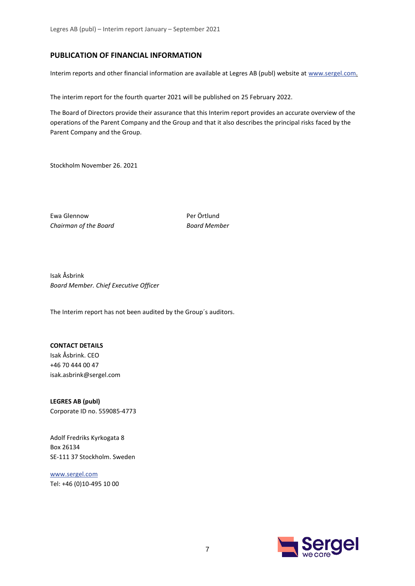#### **PUBLICATION OF FINANCIAL INFORMATION**

Interim reports and other financial information are available at Legres AB (publ) website at [www.sergel.com.](http://www.sergel.com/)

The interim report for the fourth quarter 2021 will be published on 25 February 2022.

The Board of Directors provide their assurance that this Interim report provides an accurate overview of the operations of the Parent Company and the Group and that it also describes the principal risks faced by the Parent Company and the Group.

Stockholm November 26. 2021

Ewa Glennow Per Örtlund *Chairman of the Board Board Member*

Isak Åsbrink *Board Member. Chief Executive Officer*

The Interim report has not been audited by the Group´s auditors.

#### **CONTACT DETAILS**

Isak Åsbrink. CEO +46 70 444 00 47 isak.asbrink@sergel.com

**LEGRES AB (publ)** Corporate ID no. 559085-4773

Adolf Fredriks Kyrkogata 8 Box 26134 SE-111 37 Stockholm. Sweden

[www.sergel.com](http://www.sergel.com/) Tel: +46 (0)10-495 10 00

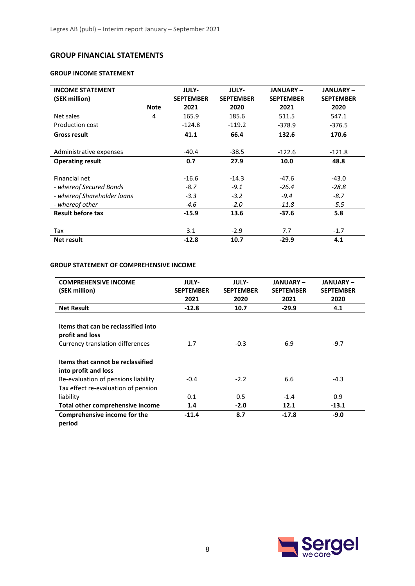# **GROUP FINANCIAL STATEMENTS**

#### **GROUP INCOME STATEMENT**

| <b>INCOME STATEMENT</b>     |             | <b>JULY-</b>     | <b>JULY-</b>     | <b>JANUARY-</b>  | <b>JANUARY-</b>  |
|-----------------------------|-------------|------------------|------------------|------------------|------------------|
| (SEK million)               |             | <b>SEPTEMBER</b> | <b>SEPTEMBER</b> | <b>SEPTEMBER</b> | <b>SEPTEMBER</b> |
|                             | <b>Note</b> | 2021             | 2020             | 2021             | 2020             |
| Net sales                   | 4           | 165.9            | 185.6            | 511.5            | 547.1            |
| Production cost             |             | $-124.8$         | $-119.2$         | -378.9           | $-376.5$         |
| <b>Gross result</b>         |             | 41.1             | 66.4             | 132.6            | 170.6            |
|                             |             |                  |                  |                  |                  |
| Administrative expenses     |             | $-40.4$          | $-38.5$          | $-122.6$         | $-121.8$         |
| <b>Operating result</b>     |             | 0.7              | 27.9             | 10.0             | 48.8             |
|                             |             |                  |                  |                  |                  |
| Financial net               |             | $-16.6$          | $-14.3$          | $-47.6$          | $-43.0$          |
| - whereof Secured Bonds     |             | $-8.7$           | $-9.1$           | $-26.4$          | $-28.8$          |
| - whereof Shareholder loans |             | $-3.3$           | $-3.2$           | $-9.4$           | $-8.7$           |
| - whereof other             |             | $-4.6$           | $-2.0$           | $-11.8$          | $-5.5$           |
| <b>Result before tax</b>    |             | $-15.9$          | 13.6             | $-37.6$          | 5.8              |
|                             |             |                  |                  |                  |                  |
| Tax                         |             | 3.1              | $-2.9$           | 7.7              | $-1.7$           |
| <b>Net result</b>           |             | $-12.8$          | 10.7             | $-29.9$          | 4.1              |

## **GROUP STATEMENT OF COMPREHENSIVE INCOME**

| <b>COMPREHENSIVE INCOME</b><br>(SEK million)                                               | <b>JULY-</b><br><b>SEPTEMBER</b><br>2021 | <b>JULY-</b><br><b>SEPTEMBER</b><br>2020 | <b>JANUARY –</b><br><b>SEPTEMBER</b><br>2021 | <b>JANUARY –</b><br><b>SEPTEMBER</b><br>2020 |
|--------------------------------------------------------------------------------------------|------------------------------------------|------------------------------------------|----------------------------------------------|----------------------------------------------|
| <b>Net Result</b>                                                                          | $-12.8$                                  | 10.7                                     | $-29.9$                                      | 4.1                                          |
| Items that can be reclassified into<br>profit and loss<br>Currency translation differences | 1.7                                      | $-0.3$                                   | 6.9                                          | $-9.7$                                       |
| Items that cannot be reclassified<br>into profit and loss                                  |                                          |                                          |                                              |                                              |
| Re-evaluation of pensions liability                                                        | $-0.4$                                   | $-2.2$                                   | 6.6                                          | $-4.3$                                       |
| Tax effect re-evaluation of pension                                                        |                                          |                                          |                                              |                                              |
| liability                                                                                  | 0.1                                      | 0.5                                      | $-1.4$                                       | 0.9                                          |
| Total other comprehensive income                                                           | 1.4                                      | $-2.0$                                   | 12.1                                         | $-13.1$                                      |
| Comprehensive income for the                                                               | $-11.4$                                  | 8.7                                      | $-17.8$                                      | $-9.0$                                       |



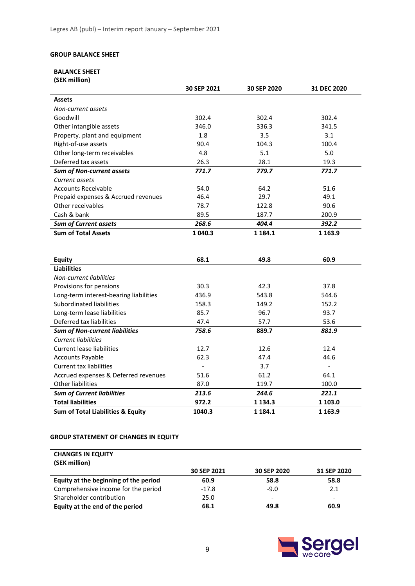#### **GROUP BALANCE SHEET**

| <b>BALANCE SHEET</b>                         |             |             |                |
|----------------------------------------------|-------------|-------------|----------------|
| (SEK million)                                |             |             |                |
|                                              | 30 SEP 2021 | 30 SEP 2020 | 31 DEC 2020    |
| <b>Assets</b>                                |             |             |                |
| Non-current assets                           |             |             |                |
| Goodwill                                     | 302.4       | 302.4       | 302.4          |
| Other intangible assets                      | 346.0       | 336.3       | 341.5          |
| Property. plant and equipment                | 1.8         | 3.5         | 3.1            |
| Right-of-use assets                          | 90.4        | 104.3       | 100.4          |
| Other long-term receivables                  | 4.8         | 5.1         | 5.0            |
| Deferred tax assets                          | 26.3        | 28.1        | 19.3           |
| <b>Sum of Non-current assets</b>             | 771.7       | 779.7       | 771.7          |
| Current assets                               |             |             |                |
| <b>Accounts Receivable</b>                   | 54.0        | 64.2        | 51.6           |
| Prepaid expenses & Accrued revenues          | 46.4        | 29.7        | 49.1           |
| Other receivables                            | 78.7        | 122.8       | 90.6           |
| Cash & bank                                  | 89.5        | 187.7       | 200.9          |
| <b>Sum of Current assets</b>                 | 268.6       | 404.4       | 392.2          |
| <b>Sum of Total Assets</b>                   | 1 040.3     | 1 1 8 4 . 1 | 1 1 6 3 . 9    |
|                                              |             |             |                |
|                                              |             |             |                |
| <b>Equity</b>                                | 68.1        | 49.8        | 60.9           |
| <b>Liabilities</b>                           |             |             |                |
| Non-current liabilities                      |             |             |                |
| Provisions for pensions                      | 30.3        | 42.3        | 37.8           |
| Long-term interest-bearing liabilities       | 436.9       | 543.8       | 544.6          |
| Subordinated liabilities                     | 158.3       | 149.2       | 152.2          |
| Long-term lease liabilities                  | 85.7        | 96.7        | 93.7           |
| Deferred tax liabilities                     | 47.4        | 57.7        | 53.6           |
| <b>Sum of Non-current liabilities</b>        | 758.6       | 889.7       | 881.9          |
| <b>Current liabilities</b>                   |             |             |                |
| <b>Current lease liabilities</b>             | 12.7        | 12.6        | 12.4           |
| <b>Accounts Payable</b>                      | 62.3        | 47.4        | 44.6           |
| <b>Current tax liabilities</b>               |             | 3.7         | $\overline{a}$ |
| Accrued expenses & Deferred revenues         | 51.6        | 61.2        | 64.1           |
| <b>Other liabilities</b>                     | 87.0        | 119.7       | 100.0          |
| <b>Sum of Current liabilities</b>            | 213.6       | 244.6       | 221.1          |
| <b>Total liabilities</b>                     | 972.2       | 1 1 3 4 . 3 | 1 103.0        |
| <b>Sum of Total Liabilities &amp; Equity</b> | 1040.3      | 1 1 8 4 . 1 | 1 1 6 3 . 9    |

#### **GROUP STATEMENT OF CHANGES IN EQUITY**

| <b>CHANGES IN EQUITY</b><br>(SEK million) |             |             |             |
|-------------------------------------------|-------------|-------------|-------------|
|                                           | 30 SEP 2021 | 30 SEP 2020 | 31 SEP 2020 |
| Equity at the beginning of the period     | 60.9        | 58.8        | 58.8        |
| Comprehensive income for the period       | $-17.8$     | $-9.0$      | 2.1         |
| Shareholder contribution                  | 25.0        | -           | -           |
| Equity at the end of the period           | 68.1        | 49.8        | 60.9        |

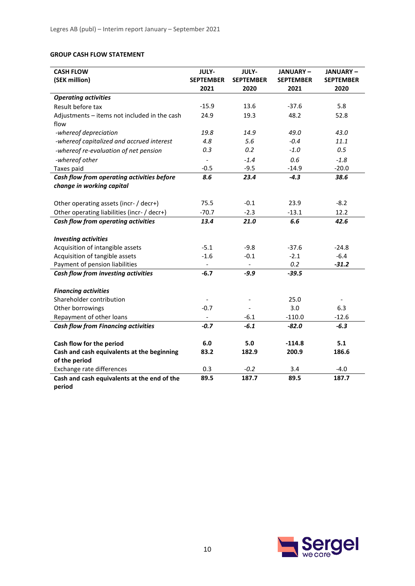# **GROUP CASH FLOW STATEMENT**

| <b>CASH FLOW</b>                                        | JULY-            | JULY-            | JANUARY-         | <b>JANUARY-</b>  |
|---------------------------------------------------------|------------------|------------------|------------------|------------------|
| (SEK million)                                           | <b>SEPTEMBER</b> | <b>SEPTEMBER</b> | <b>SEPTEMBER</b> | <b>SEPTEMBER</b> |
|                                                         | 2021             | 2020             | 2021             | 2020             |
| <b>Operating activities</b>                             |                  |                  |                  |                  |
| Result before tax                                       | $-15.9$          | 13.6             | $-37.6$          | 5.8              |
| Adjustments - items not included in the cash            | 24.9             | 19.3             | 48.2             | 52.8             |
| flow                                                    |                  |                  |                  |                  |
| -whereof depreciation                                   | 19.8             | 14.9             | 49.0             | 43.0             |
| -whereof capitalized and accrued interest               | 4.8              | 5.6              | $-0.4$           | 11.1             |
| -whereof re-evaluation of net pension                   | 0.3              | 0.2              | $-1.0$           | 0.5              |
| -whereof other                                          |                  | $-1.4$           | 0.6              | $-1.8$           |
| Taxes paid                                              | $-0.5$           | $-9.5$           | $-14.9$          | $-20.0$          |
| Cash flow from operating activities before              | 8.6              | 23.4             | $-4.3$           | 38.6             |
| change in working capital                               |                  |                  |                  |                  |
|                                                         |                  |                  |                  |                  |
| Other operating assets (incr- / decr+)                  | 75.5             | $-0.1$           | 23.9             | $-8.2$           |
| Other operating liabilities (incr- / decr+)             | $-70.7$          | $-2.3$           | $-13.1$          | 12.2             |
| Cash flow from operating activities                     | 13.4             | 21.0             | 6.6              | 42.6             |
|                                                         |                  |                  |                  |                  |
| <b>Investing activities</b>                             |                  |                  |                  |                  |
| Acquisition of intangible assets                        | $-5.1$           | $-9.8$           | $-37.6$          | $-24.8$          |
| Acquisition of tangible assets                          | $-1.6$           | $-0.1$           | $-2.1$           | $-6.4$           |
| Payment of pension liabilities                          |                  |                  | 0.2              | $-31.2$          |
| Cash flow from investing activities                     | $-6.7$           | $-9.9$           | $-39.5$          |                  |
|                                                         |                  |                  |                  |                  |
| <b>Financing activities</b><br>Shareholder contribution |                  |                  | 25.0             |                  |
|                                                         |                  |                  |                  |                  |
| Other borrowings                                        | $-0.7$           | $-6.1$           | 3.0<br>$-110.0$  | 6.3<br>$-12.6$   |
| Repayment of other loans                                | $-0.7$           | $-6.1$           |                  |                  |
| <b>Cash flow from Financing activities</b>              |                  |                  | $-82.0$          | $-6.3$           |
| Cash flow for the period                                | 6.0              | 5.0              | $-114.8$         | 5.1              |
| Cash and cash equivalents at the beginning              | 83.2             | 182.9            | 200.9            | 186.6            |
| of the period                                           |                  |                  |                  |                  |
| Exchange rate differences                               | 0.3              | $-0.2$           | 3.4              | $-4.0$           |
| Cash and cash equivalents at the end of the             | 89.5             | 187.7            | 89.5             | 187.7            |
| period                                                  |                  |                  |                  |                  |

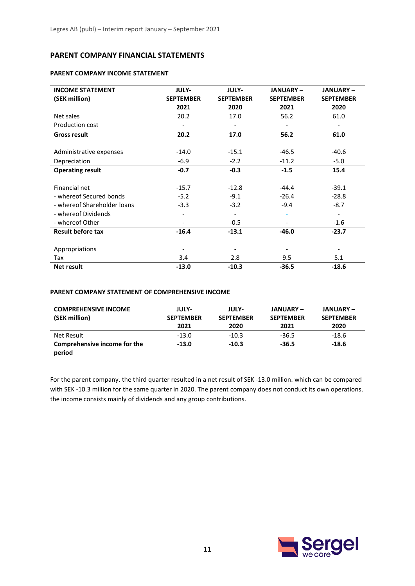# **PARENT COMPANY FINANCIAL STATEMENTS**

#### **PARENT COMPANY INCOME STATEMENT**

| <b>INCOME STATEMENT</b>     | JULY-            | <b>JULY-</b>     | <b>JANUARY-</b>          | <b>JANUARY-</b>          |
|-----------------------------|------------------|------------------|--------------------------|--------------------------|
| (SEK million)               | <b>SEPTEMBER</b> | <b>SEPTEMBER</b> | <b>SEPTEMBER</b>         | <b>SEPTEMBER</b>         |
|                             | 2021             | 2020             | 2021                     | 2020                     |
| Net sales                   | 20.2             | 17.0             | 56.2                     | 61.0                     |
| Production cost             |                  |                  | $\overline{\phantom{a}}$ | $\overline{\phantom{a}}$ |
| <b>Gross result</b>         | 20.2             | 17.0             | 56.2                     | 61.0                     |
|                             |                  |                  |                          |                          |
| Administrative expenses     | $-14.0$          | $-15.1$          | $-46.5$                  | $-40.6$                  |
| Depreciation                | $-6.9$           | $-2.2$           | $-11.2$                  | $-5.0$                   |
| <b>Operating result</b>     | $-0.7$           | $-0.3$           | $-1.5$                   | 15.4                     |
|                             |                  |                  |                          |                          |
| Financial net               | $-15.7$          | $-12.8$          | $-44.4$                  | $-39.1$                  |
| - whereof Secured bonds     | $-5.2$           | $-9.1$           | $-26.4$                  | $-28.8$                  |
| - whereof Shareholder loans | $-3.3$           | $-3.2$           | $-9.4$                   | $-8.7$                   |
| - whereof Dividends         |                  |                  |                          | $\overline{\phantom{a}}$ |
| - whereof Other             |                  | $-0.5$           |                          | $-1.6$                   |
| <b>Result before tax</b>    | $-16.4$          | $-13.1$          | $-46.0$                  | $-23.7$                  |
|                             |                  |                  |                          |                          |
| Appropriations              |                  |                  |                          |                          |
| Tax                         | 3.4              | 2.8              | 9.5                      | 5.1                      |
| <b>Net result</b>           | $-13.0$          | $-10.3$          | $-36.5$                  | $-18.6$                  |

#### **PARENT COMPANY STATEMENT OF COMPREHENSIVE INCOME**

| <b>COMPREHENSIVE INCOME</b><br>(SEK million) | <b>JULY-</b><br><b>SEPTEMBER</b><br>2021 | <b>JULY-</b><br><b>SEPTEMBER</b><br>2020 | <b>JANUARY –</b><br><b>SEPTEMBER</b><br>2021 | <b>JANUARY-</b><br><b>SEPTEMBER</b><br>2020 |
|----------------------------------------------|------------------------------------------|------------------------------------------|----------------------------------------------|---------------------------------------------|
| Net Result                                   | $-13.0$                                  | $-10.3$                                  | $-36.5$                                      | $-18.6$                                     |
| Comprehensive income for the<br>period       | $-13.0$                                  | $-10.3$                                  | $-36.5$                                      | $-18.6$                                     |

For the parent company. the third quarter resulted in a net result of SEK -13.0 million. which can be compared with SEK -10.3 million for the same quarter in 2020. The parent company does not conduct its own operations. the income consists mainly of dividends and any group contributions.

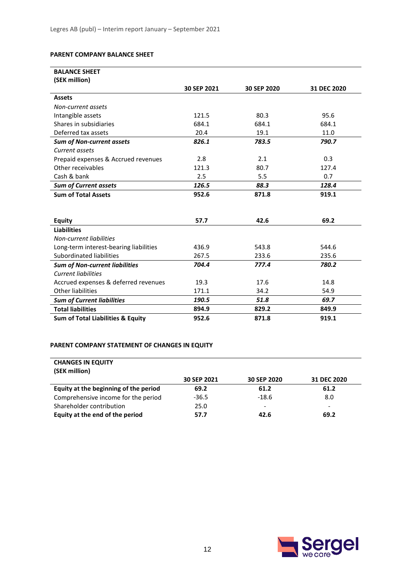#### **PARENT COMPANY BALANCE SHEET**

| <b>BALANCE SHEET</b>                         |             |             |             |
|----------------------------------------------|-------------|-------------|-------------|
| (SEK million)                                |             |             |             |
|                                              | 30 SEP 2021 | 30 SEP 2020 | 31 DEC 2020 |
| <b>Assets</b>                                |             |             |             |
| Non-current assets                           |             |             |             |
| Intangible assets                            | 121.5       | 80.3        | 95.6        |
| Shares in subsidiaries                       | 684.1       | 684.1       | 684.1       |
| Deferred tax assets                          | 20.4        | 19.1        | 11.0        |
| <b>Sum of Non-current assets</b>             | 826.1       | 783.5       | 790.7       |
| Current assets                               |             |             |             |
| Prepaid expenses & Accrued revenues          | 2.8         | 2.1         | 0.3         |
| Other receivables                            | 121.3       | 80.7        | 127.4       |
| Cash & bank                                  | 2.5         | 5.5         | 0.7         |
| <b>Sum of Current assets</b>                 | 126.5       | 88.3        | 128.4       |
| <b>Sum of Total Assets</b>                   | 952.6       | 871.8       | 919.1       |
|                                              |             |             |             |
|                                              |             |             |             |
| <b>Equity</b>                                | 57.7        | 42.6        | 69.2        |
| <b>Liabilities</b>                           |             |             |             |
| Non-current liabilities                      |             |             |             |
| Long-term interest-bearing liabilities       | 436.9       | 543.8       | 544.6       |
| Subordinated liabilities                     | 267.5       | 233.6       | 235.6       |
| <b>Sum of Non-current liabilities</b>        | 704.4       | 777.4       | 780.2       |
| <b>Current liabilities</b>                   |             |             |             |
| Accrued expenses & deferred revenues         | 19.3        | 17.6        | 14.8        |
| <b>Other liabilities</b>                     | 171.1       | 34.2        | 54.9        |
| <b>Sum of Current liabilities</b>            | 190.5       | 51.8        | 69.7        |
| <b>Total liabilities</b>                     | 894.9       | 829.2       | 849.9       |
| <b>Sum of Total Liabilities &amp; Equity</b> | 952.6       | 871.8       | 919.1       |

# **PARENT COMPANY STATEMENT OF CHANGES IN EQUITY**

| <b>CHANGES IN EQUITY</b>              |             |             |             |
|---------------------------------------|-------------|-------------|-------------|
| (SEK million)                         |             |             |             |
|                                       | 30 SEP 2021 | 30 SEP 2020 | 31 DEC 2020 |
| Equity at the beginning of the period | 69.2        | 61.2        | 61.2        |
| Comprehensive income for the period   | $-36.5$     | $-18.6$     | 8.0         |
| Shareholder contribution              | 25.0        | -           |             |
| Equity at the end of the period       | 57.7        | 42.6        | 69.2        |

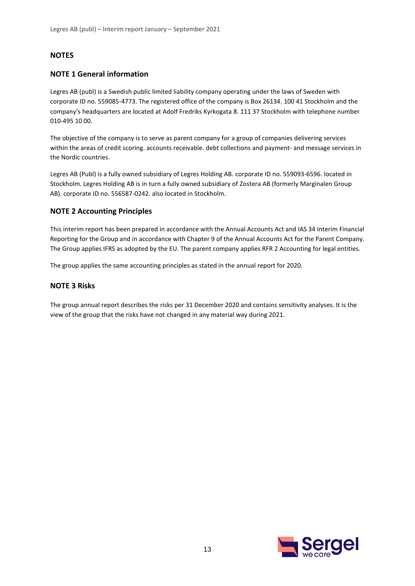# **NOTES**

#### **NOTE 1 General information**

Legres AB (publ) is a Swedish public limited liability company operating under the laws of Sweden with corporate ID no. 559085-4773. The registered office of the company is Box 26134. 100 41 Stockholm and the company's headquarters are located at Adolf Fredriks Kyrkogata 8. 111 37 Stockholm with telephone number 010-495 10 00.

The objective of the company is to serve as parent company for a group of companies delivering services within the areas of credit scoring. accounts receivable. debt collections and payment- and message services in the Nordic countries.

Legres AB (Publ) is a fully owned subsidiary of Legres Holding AB. corporate ID no. 559093-6596. located in Stockholm. Legres Holding AB is in turn a fully owned subsidiary of Zostera AB (formerly Marginalen Group AB). corporate ID no. 556587-0242. also located in Stockholm.

#### **NOTE 2 Accounting Principles**

This interim report has been prepared in accordance with the Annual Accounts Act and IAS 34 Interim Financial Reporting for the Group and in accordance with Chapter 9 of the Annual Accounts Act for the Parent Company. The Group applies IFRS as adopted by the EU. The parent company applies RFR 2 Accounting for legal entities.

The group applies the same accounting principles as stated in the annual report for 2020.

#### **NOTE 3 Risks**

The group annual report describes the risks per 31 December 2020 and contains sensitivity analyses. It is the view of the group that the risks have not changed in any material way during 2021.

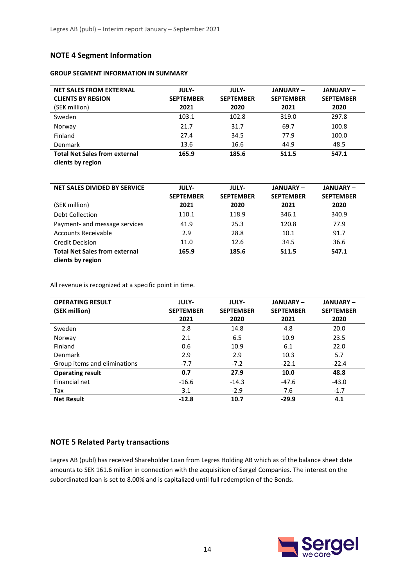# **NOTE 4 Segment Information**

#### **GROUP SEGMENT INFORMATION IN SUMMARY**

| <b>NET SALES FROM EXTERNAL</b><br><b>CLIENTS BY REGION</b><br>(SEK million) | <b>JULY-</b><br><b>SEPTEMBER</b><br>2021 | <b>JULY-</b><br><b>SEPTEMBER</b><br>2020 | <b>JANUARY –</b><br><b>SEPTEMBER</b><br>2021 | <b>JANUARY-</b><br><b>SEPTEMBER</b><br>2020 |
|-----------------------------------------------------------------------------|------------------------------------------|------------------------------------------|----------------------------------------------|---------------------------------------------|
| Sweden                                                                      | 103.1                                    | 102.8                                    | 319.0                                        | 297.8                                       |
| Norway                                                                      | 21.7                                     | 31.7                                     | 69.7                                         | 100.8                                       |
| Finland                                                                     | 27.4                                     | 34.5                                     | 77.9                                         | 100.0                                       |
| Denmark                                                                     | 13.6                                     | 16.6                                     | 44.9                                         | 48.5                                        |
| <b>Total Net Sales from external</b><br>clients by region                   | 165.9                                    | 185.6                                    | 511.5                                        | 547.1                                       |

| NET SALES DIVIDED BY SERVICE         | <b>JULY-</b><br><b>SEPTEMBER</b> | <b>JULY-</b><br><b>SEPTEMBER</b> | <b>JANUARY –</b><br><b>SEPTEMBER</b> | <b>JANUARY-</b><br><b>SEPTEMBER</b> |
|--------------------------------------|----------------------------------|----------------------------------|--------------------------------------|-------------------------------------|
| (SEK million)                        | 2021                             | 2020                             | 2021                                 | 2020                                |
| Debt Collection                      | 110.1                            | 118.9                            | 346.1                                | 340.9                               |
| Payment- and message services        | 41.9                             | 25.3                             | 120.8                                | 77.9                                |
| Accounts Receivable                  | 2.9                              | 28.8                             | 10.1                                 | 91.7                                |
| <b>Credit Decision</b>               | 11.0                             | 12.6                             | 34.5                                 | 36.6                                |
| <b>Total Net Sales from external</b> | 165.9                            | 185.6                            | 511.5                                | 547.1                               |
| clients by region                    |                                  |                                  |                                      |                                     |

All revenue is recognized at a specific point in time.

| <b>OPERATING RESULT</b>      | <b>JULY-</b>     | <b>JULY-</b>     | <b>JANUARY-</b>  | <b>JANUARY-</b>  |
|------------------------------|------------------|------------------|------------------|------------------|
| (SEK million)                | <b>SEPTEMBER</b> | <b>SEPTEMBER</b> | <b>SEPTEMBER</b> | <b>SEPTEMBER</b> |
|                              | 2021             | 2020             | 2021             | 2020             |
| Sweden                       | 2.8              | 14.8             | 4.8              | 20.0             |
| Norway                       | 2.1              | 6.5              | 10.9             | 23.5             |
| Finland                      | 0.6              | 10.9             | 6.1              | 22.0             |
| Denmark                      | 2.9              | 2.9              | 10.3             | 5.7              |
| Group items and eliminations | $-7.7$           | $-7.2$           | $-22.1$          | $-22.4$          |
| <b>Operating result</b>      | 0.7              | 27.9             | 10.0             | 48.8             |
| Financial net                | $-16.6$          | $-14.3$          | $-47.6$          | $-43.0$          |
| Tax                          | 3.1              | $-2.9$           | 7.6              | $-1.7$           |
| <b>Net Result</b>            | $-12.8$          | 10.7             | $-29.9$          | 4.1              |

#### **NOTE 5 Related Party transactions**

Legres AB (publ) has received Shareholder Loan from Legres Holding AB which as of the balance sheet date amounts to SEK 161.6 million in connection with the acquisition of Sergel Companies. The interest on the subordinated loan is set to 8.00% and is capitalized until full redemption of the Bonds.

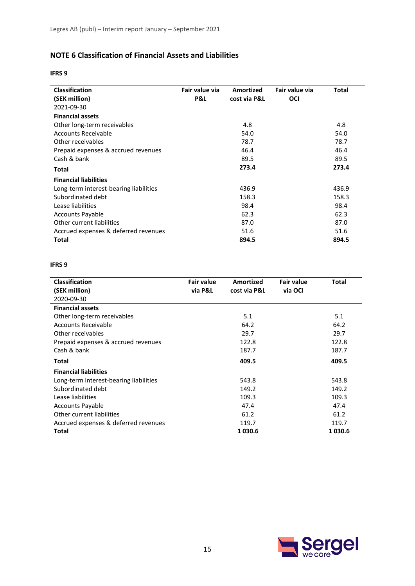# **NOTE 6 Classification of Financial Assets and Liabilities**

#### **IFRS 9**

| <b>Classification</b>                  | Fair value via | <b>Amortized</b> | Fair value via | Total |
|----------------------------------------|----------------|------------------|----------------|-------|
| (SEK million)                          | P&L            | cost via P&L     | OCI            |       |
| 2021-09-30                             |                |                  |                |       |
| <b>Financial assets</b>                |                |                  |                |       |
| Other long-term receivables            |                | 4.8              |                | 4.8   |
| <b>Accounts Receivable</b>             |                | 54.0             |                | 54.0  |
| Other receivables                      |                | 78.7             |                | 78.7  |
| Prepaid expenses & accrued revenues    |                | 46.4             |                | 46.4  |
| Cash & bank                            |                | 89.5             |                | 89.5  |
| Total                                  |                | 273.4            |                | 273.4 |
| <b>Financial liabilities</b>           |                |                  |                |       |
| Long-term interest-bearing liabilities |                | 436.9            |                | 436.9 |
| Subordinated debt                      |                | 158.3            |                | 158.3 |
| Lease liabilities                      |                | 98.4             |                | 98.4  |
| <b>Accounts Payable</b>                |                | 62.3             |                | 62.3  |
| Other current liabilities              |                | 87.0             |                | 87.0  |
| Accrued expenses & deferred revenues   |                | 51.6             |                | 51.6  |
| Total                                  |                | 894.5            |                | 894.5 |

#### **IFRS 9**

| <b>Classification</b>                  | <b>Fair value</b> | Amortized    | <b>Fair value</b> | <b>Total</b> |
|----------------------------------------|-------------------|--------------|-------------------|--------------|
| (SEK million)                          | via P&L           | cost via P&L | via OCI           |              |
| 2020-09-30                             |                   |              |                   |              |
| <b>Financial assets</b>                |                   |              |                   |              |
| Other long-term receivables            |                   | 5.1          |                   | 5.1          |
| Accounts Receivable                    |                   | 64.2         |                   | 64.2         |
| Other receivables                      |                   | 29.7         |                   | 29.7         |
| Prepaid expenses & accrued revenues    |                   | 122.8        |                   | 122.8        |
| Cash & bank                            |                   | 187.7        |                   | 187.7        |
| Total                                  |                   | 409.5        |                   | 409.5        |
| <b>Financial liabilities</b>           |                   |              |                   |              |
| Long-term interest-bearing liabilities |                   | 543.8        |                   | 543.8        |
| Subordinated debt                      |                   | 149.2        |                   | 149.2        |
| Lease liabilities                      |                   | 109.3        |                   | 109.3        |
| <b>Accounts Payable</b>                |                   | 47.4         |                   | 47.4         |
| Other current liabilities              |                   | 61.2         |                   | 61.2         |
| Accrued expenses & deferred revenues   |                   | 119.7        |                   | 119.7        |
| Total                                  |                   | 1030.6       |                   | 1030.6       |